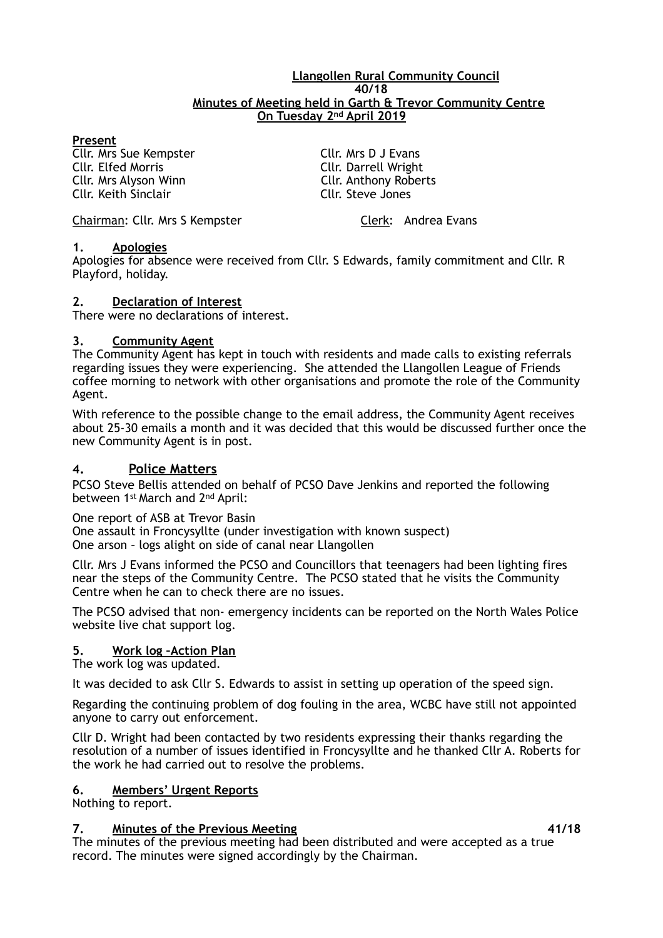#### **Llangollen Rural Community Council 40/18 Minutes of Meeting held in Garth & Trevor Community Centre On Tuesday 2nd April 2019**

### **Present**

Cllr. Mrs Sue Kempster Cllr. Mrs D J Evans **Cllr. Elfed Morris | Cllr. Darrell Wright | Cllr. Darrell Wright | Cllr. Anthony Rober** Cllr. Keith Sinclair

Cllr. Anthony Roberts<br>Cllr. Steve Jones

Chairman: Cllr. Mrs S Kempster Chairman: Clerk: Andrea Evans

## **1. Apologies**

Apologies for absence were received from Cllr. S Edwards, family commitment and Cllr. R Playford, holiday.

## **2. Declaration of Interest**

There were no declarations of interest.

## **3. Community Agent**

The Community Agent has kept in touch with residents and made calls to existing referrals regarding issues they were experiencing. She attended the Llangollen League of Friends coffee morning to network with other organisations and promote the role of the Community Agent.

With reference to the possible change to the email address, the Community Agent receives about 25-30 emails a month and it was decided that this would be discussed further once the new Community Agent is in post.

# **4. Police Matters**

PCSO Steve Bellis attended on behalf of PCSO Dave Jenkins and reported the following between 1st March and 2nd April:

One report of ASB at Trevor Basin

One assault in Froncysyllte (under investigation with known suspect) One arson – logs alight on side of canal near Llangollen

Cllr. Mrs J Evans informed the PCSO and Councillors that teenagers had been lighting fires near the steps of the Community Centre. The PCSO stated that he visits the Community Centre when he can to check there are no issues.

The PCSO advised that non- emergency incidents can be reported on the North Wales Police website live chat support log.

# **5. Work log –Action Plan**

The work log was updated.

It was decided to ask Cllr S. Edwards to assist in setting up operation of the speed sign.

Regarding the continuing problem of dog fouling in the area, WCBC have still not appointed anyone to carry out enforcement.

Cllr D. Wright had been contacted by two residents expressing their thanks regarding the resolution of a number of issues identified in Froncysyllte and he thanked Cllr A. Roberts for the work he had carried out to resolve the problems.

### **6. Members' Urgent Reports**

Nothing to report.

### **7. Minutes of the Previous Meeting 41/18**

The minutes of the previous meeting had been distributed and were accepted as a true record. The minutes were signed accordingly by the Chairman.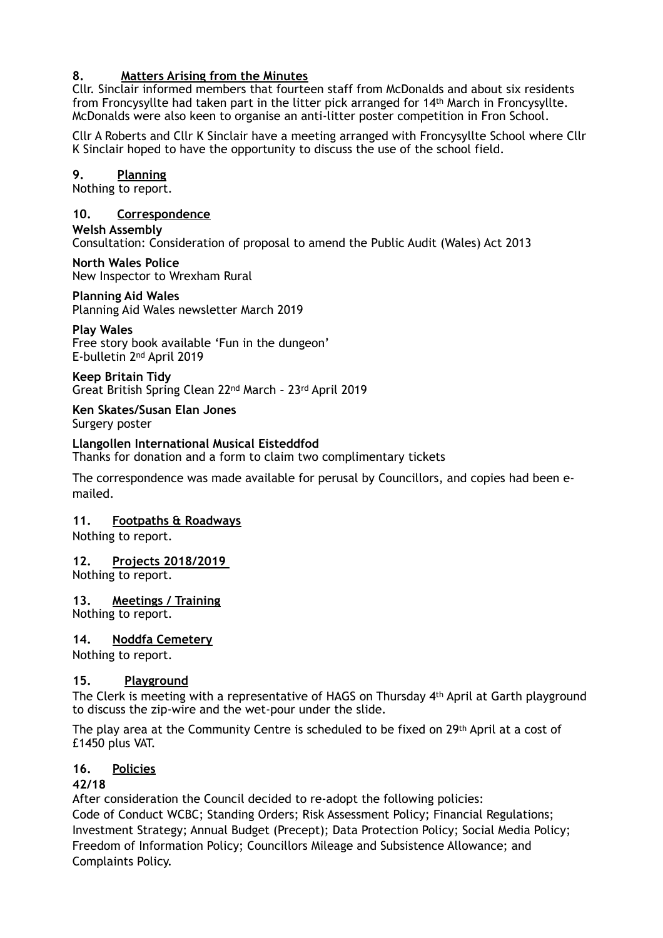# **8. Matters Arising from the Minutes**

Cllr. Sinclair informed members that fourteen staff from McDonalds and about six residents from Froncysyllte had taken part in the litter pick arranged for 14th March in Froncysyllte. McDonalds were also keen to organise an anti-litter poster competition in Fron School.

Cllr A Roberts and Cllr K Sinclair have a meeting arranged with Froncysyllte School where Cllr K Sinclair hoped to have the opportunity to discuss the use of the school field.

# **9. Planning**

Nothing to report.

### **10. Correspondence**

**Welsh Assembly**  Consultation: Consideration of proposal to amend the Public Audit (Wales) Act 2013

**North Wales Police**  New Inspector to Wrexham Rural

### **Planning Aid Wales**

Planning Aid Wales newsletter March 2019

#### **Play Wales**

Free story book available 'Fun in the dungeon' E-bulletin 2nd April 2019

**Keep Britain Tidy**  Great British Spring Clean 22nd March – 23rd April 2019

#### **Ken Skates/Susan Elan Jones**  Surgery poster

### **Llangollen International Musical Eisteddfod**

Thanks for donation and a form to claim two complimentary tickets

The correspondence was made available for perusal by Councillors, and copies had been emailed.

### **11. Footpaths & Roadways**

Nothing to report.

### **12. Projects 2018/2019**

Nothing to report.

### **13. Meetings / Training**

Nothing to report.

#### **14. Noddfa Cemetery**

Nothing to report.

### **15. Playground**

The Clerk is meeting with a representative of HAGS on Thursday 4th April at Garth playground to discuss the zip-wire and the wet-pour under the slide.

The play area at the Community Centre is scheduled to be fixed on 29th April at a cost of £1450 plus VAT.

### **16. Policies**

### **42/18**

After consideration the Council decided to re-adopt the following policies: Code of Conduct WCBC; Standing Orders; Risk Assessment Policy; Financial Regulations; Investment Strategy; Annual Budget (Precept); Data Protection Policy; Social Media Policy; Freedom of Information Policy; Councillors Mileage and Subsistence Allowance; and Complaints Policy.